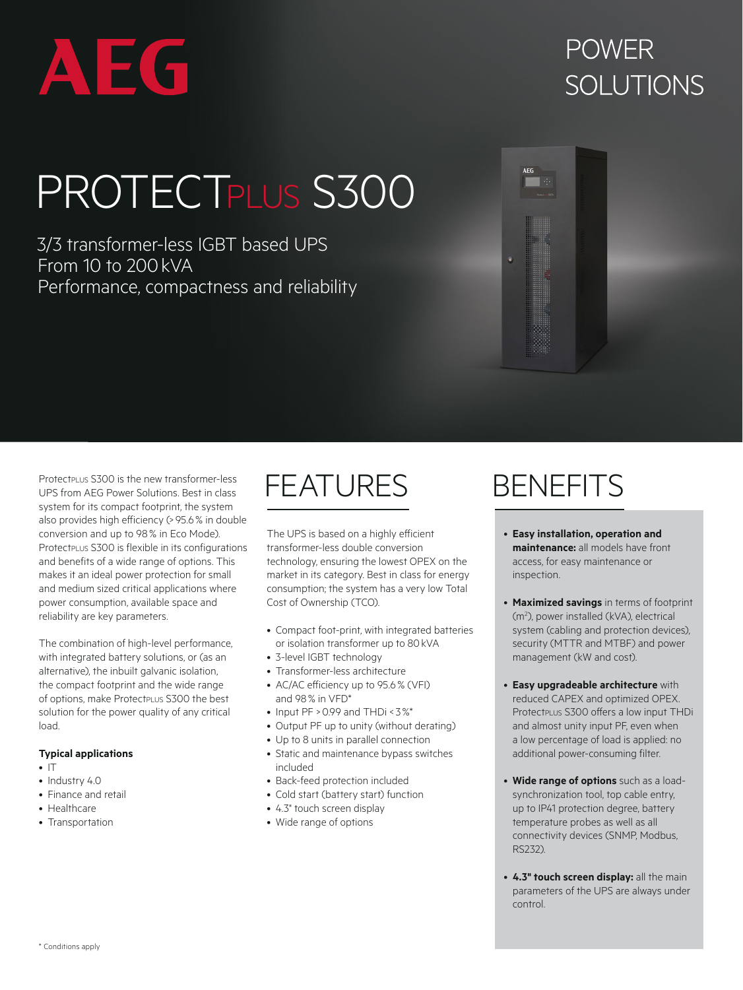

## **POWFR** SOLUTIONS

# PROTECTPLUS S300

3/3 transformer-less IGBT based UPS From 10 to 200kVA Performance, compactness and reliability

Protectplus S300 is the new transformer-less UPS from AEG Power Solutions. Best in class system for its compact footprint, the system also provides high efficiency (> 95.6% in double conversion and up to 98% in Eco Mode). ProtectpLus S300 is flexible in its configurations and benefits of a wide range of options. This makes it an ideal power protection for small and medium sized critical applications where power consumption, available space and reliability are key parameters.

The combination of high-level performance, with integrated battery solutions, or (as an alternative), the inbuilt galvanic isolation, the compact footprint and the wide range of options, make Protect PLUS S300 the best solution for the power quality of any critical load.

### **Typical applications**

- $\cdot$  IT
- Industry 4.0
- Finance and retail
- Healthcare
- Transportation

## FEATURES BENEFITS

The UPS is based on a highly efficient transformer-less double conversion technology, ensuring the lowest OPEX on the market in its category. Best in class for energy consumption; the system has a very low Total Cost of Ownership (TCO).

- Compact foot-print, with integrated batteries or isolation transformer up to 80kVA
- 3-level IGBT technology
- Transformer-less architecture
- AC/AC efficiency up to 95.6% (VFI) and 98% in VFD\*
- Input  $PF > 0.99$  and  $THDi < 3\%$ \*
- Output PF up to unity (without derating)
- Up to 8 units in parallel connection
- Static and maintenance bypass switches included
- Back-feed protection included
- Cold start (battery start) function
- 4.3" touch screen display
- Wide range of options

- **Easy installation, operation and maintenance:** all models have front access, for easy maintenance or inspection.
- **Maximized savings** in terms of footprint (m<sup>2</sup>), power installed (kVA), electrical system (cabling and protection devices), security (MTTR and MTBF) and power management (kW and cost).
- **Easy upgradeable architecture** with reduced CAPEX and optimized OPEX. ProtectpLus S300 offers a low input THDi and almost unity input PF, even when a low percentage of load is applied: no additional power-consuming filter.
- **Wide range of options** such as a loadsynchronization tool, top cable entry, up to IP41 protection degree, battery temperature probes as well as all connectivity devices (SNMP, Modbus, RS232).
- **4.3" touch screen display:** all the main parameters of the UPS are always under control.